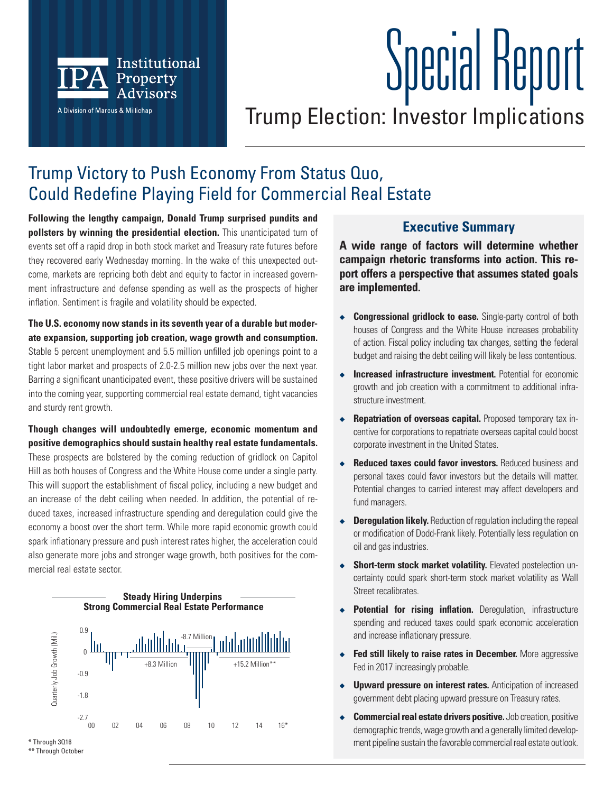

# Trump Election: Investor Implications Special Report

## Trump Victory to Push Economy From Status Quo, Could Redefine Playing Field for Commercial Real Estate

**Following the lengthy campaign, Donald Trump surprised pundits and pollsters by winning the presidential election.** This unanticipated turn of events set off a rapid drop in both stock market and Treasury rate futures before they recovered early Wednesday morning. In the wake of this unexpected outcome, markets are repricing both debt and equity to factor in increased government infrastructure and defense spending as well as the prospects of higher inflation. Sentiment is fragile and volatility should be expected.

**The U.S. economy now stands in its seventh year of a durable but moderate expansion, supporting job creation, wage growth and consumption.**  Stable 5 percent unemployment and 5.5 million unfilled job openings point to a tight labor market and prospects of 2.0-2.5 million new jobs over the next year. Barring a significant unanticipated event, these positive drivers will be sustained into the coming year, supporting commercial real estate demand, tight vacancies and sturdy rent growth.

**Though changes will undoubtedly emerge, economic momentum and positive demographics should sustain healthy real estate fundamentals.**  These prospects are bolstered by the coming reduction of gridlock on Capitol Hill as both houses of Congress and the White House come under a single party. This will support the establishment of fiscal policy, including a new budget and an increase of the debt ceiling when needed. In addition, the potential of reduced taxes, increased infrastructure spending and deregulation could give the economy a boost over the short term. While more rapid economic growth could spark inflationary pressure and push interest rates higher, the acceleration could also generate more jobs and stronger wage growth, both positives for the commercial real estate sector.



#### \*\* Through October

#### **Executive Summary**

**A wide range of factors will determine whether campaign rhetoric transforms into action. This report offers a perspective that assumes stated goals are implemented.**

- ◆ **Congressional gridlock to ease.** Single-party control of both houses of Congress and the White House increases probability of action. Fiscal policy including tax changes, setting the federal budget and raising the debt ceiling will likely be less contentious.
- ◆ **Increased infrastructure investment.** Potential for economic growth and job creation with a commitment to additional infrastructure investment.
- ◆ **Repatriation of overseas capital.** Proposed temporary tax incentive for corporations to repatriate overseas capital could boost corporate investment in the United States.
- **Reduced taxes could favor investors.** Reduced business and personal taxes could favor investors but the details will matter. Potential changes to carried interest may affect developers and fund managers.
- **Deregulation likely.** Reduction of regulation including the repeal or modification of Dodd-Frank likely. Potentially less regulation on oil and gas industries.
- ◆ **Short-term stock market volatility.** Elevated postelection uncertainty could spark short-term stock market volatility as Wall Street recalibrates.
- ◆ **Potential for rising inflation.** Deregulation, infrastructure spending and reduced taxes could spark economic acceleration and increase inflationary pressure.
- ◆ **Fed still likely to raise rates in December.** More aggressive Fed in 2017 increasingly probable.
- ◆ **Upward pressure on interest rates.** Anticipation of increased government debt placing upward pressure on Treasury rates.
- ◆ **Commercial real estate drivers positive.** Job creation, positive demographic trends, wage growth and a generally limited development pipeline sustain the favorable commercial real estate outlook.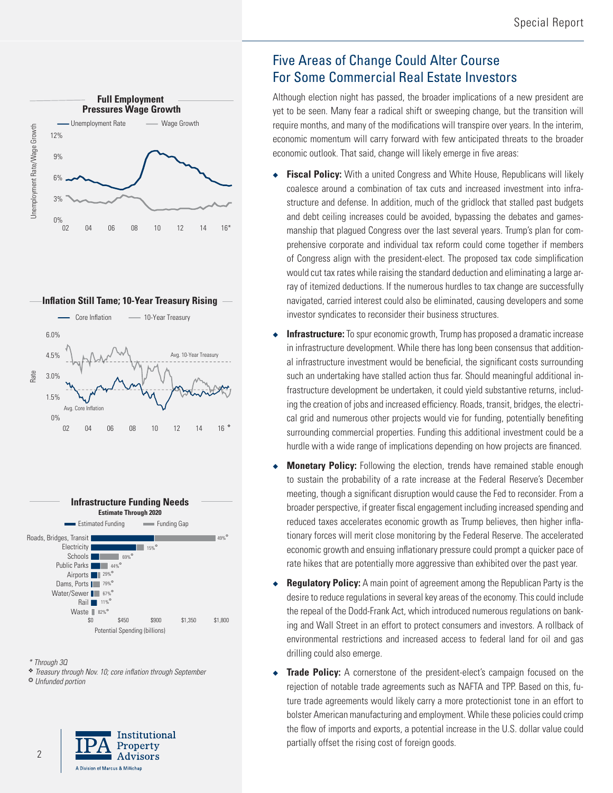





<sup>\*</sup> Through 3Q

\* Treasury through Nov. 10; core inflation through September

<sup>❂</sup> Unfunded portion



## Five Areas of Change Could Alter Course For Some Commercial Real Estate Investors

Although election night has passed, the broader implications of a new president are yet to be seen. Many fear a radical shift or sweeping change, but the transition will require months, and many of the modifications will transpire over years. In the interim, economic momentum will carry forward with few anticipated threats to the broader economic outlook. That said, change will likely emerge in five areas:

- ◆ **Fiscal Policy:** With a united Congress and White House, Republicans will likely coalesce around a combination of tax cuts and increased investment into infrastructure and defense. In addition, much of the gridlock that stalled past budgets and debt ceiling increases could be avoided, bypassing the debates and gamesmanship that plagued Congress over the last several years. Trump's plan for comprehensive corporate and individual tax reform could come together if members of Congress align with the president-elect. The proposed tax code simplification would cut tax rates while raising the standard deduction and eliminating a large array of itemized deductions. If the numerous hurdles to tax change are successfully navigated, carried interest could also be eliminated, causing developers and some investor syndicates to reconsider their business structures.
- ◆ **Infrastructure:** To spur economic growth, Trump has proposed a dramatic increase in infrastructure development. While there has long been consensus that additional infrastructure investment would be beneficial, the significant costs surrounding such an undertaking have stalled action thus far. Should meaningful additional infrastructure development be undertaken, it could yield substantive returns, including the creation of jobs and increased efficiency. Roads, transit, bridges, the electrical grid and numerous other projects would vie for funding, potentially benefiting surrounding commercial properties. Funding this additional investment could be a hurdle with a wide range of implications depending on how projects are financed.
- ◆ **Monetary Policy:** Following the election, trends have remained stable enough to sustain the probability of a rate increase at the Federal Reserve's December meeting, though a significant disruption would cause the Fed to reconsider. From a broader perspective, if greater fiscal engagement including increased spending and reduced taxes accelerates economic growth as Trump believes, then higher inflationary forces will merit close monitoring by the Federal Reserve. The accelerated economic growth and ensuing inflationary pressure could prompt a quicker pace of rate hikes that are potentially more aggressive than exhibited over the past year.
- ◆ **Regulatory Policy:** A main point of agreement among the Republican Party is the desire to reduce regulations in several key areas of the economy. This could include the repeal of the Dodd-Frank Act, which introduced numerous regulations on banking and Wall Street in an effort to protect consumers and investors. A rollback of environmental restrictions and increased access to federal land for oil and gas drilling could also emerge.
- ◆ **Trade Policy:** A cornerstone of the president-elect's campaign focused on the rejection of notable trade agreements such as NAFTA and TPP. Based on this, future trade agreements would likely carry a more protectionist tone in an effort to bolster American manufacturing and employment. While these policies could crimp the flow of imports and exports, a potential increase in the U.S. dollar value could partially offset the rising cost of foreign goods.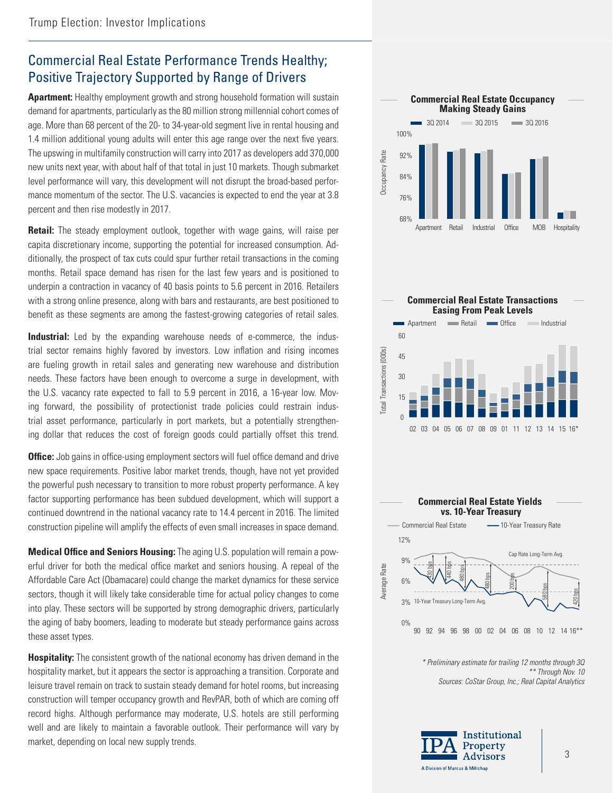#### Commercial Real Estate Performance Trends Healthy; Positive Trajectory Supported by Range of Drivers

**Apartment:** Healthy employment growth and strong household formation will sustain demand for apartments, particularly as the 80 million strong millennial cohort comes of age. More than 68 percent of the 20- to 34-year-old segment live in rental housing and 1.4 million additional young adults will enter this age range over the next five years. The upswing in multifamily construction will carry into 2017 as developers add 370,000 new units next year, with about half of that total in just 10 markets. Though submarket level performance will vary, this development will not disrupt the broad-based performance momentum of the sector. The U.S. vacancies is expected to end the year at 3.8 percent and then rise modestly in 2017.

**Retail:** The steady employment outlook, together with wage gains, will raise per capita discretionary income, supporting the potential for increased consumption. Additionally, the prospect of tax cuts could spur further retail transactions in the coming months. Retail space demand has risen for the last few years and is positioned to underpin a contraction in vacancy of 40 basis points to 5.6 percent in 2016. Retailers with a strong online presence, along with bars and restaurants, are best positioned to benefit as these segments are among the fastest-growing categories of retail sales.

**Industrial:** Led by the expanding warehouse needs of e-commerce, the industrial sector remains highly favored by investors. Low inflation and rising incomes are fueling growth in retail sales and generating new warehouse and distribution needs. These factors have been enough to overcome a surge in development, with the U.S. vacancy rate expected to fall to 5.9 percent in 2016, a 16-year low. Moving forward, the possibility of protectionist trade policies could restrain industrial asset performance, particularly in port markets, but a potentially strengthening dollar that reduces the cost of foreign goods could partially offset this trend.

**Office:** Job gains in office-using employment sectors will fuel office demand and drive new space requirements. Positive labor market trends, though, have not yet provided the powerful push necessary to transition to more robust property performance. A key factor supporting performance has been subdued development, which will support a continued downtrend in the national vacancy rate to 14.4 percent in 2016. The limited construction pipeline will amplify the effects of even small increases in space demand.

**Medical Office and Seniors Housing:** The aging U.S. population will remain a powerful driver for both the medical office market and seniors housing. A repeal of the Affordable Care Act (Obamacare) could change the market dynamics for these service sectors, though it will likely take considerable time for actual policy changes to come into play. These sectors will be supported by strong demographic drivers, particularly the aging of baby boomers, leading to moderate but steady performance gains across these asset types.

**Hospitality:** The consistent growth of the national economy has driven demand in the hospitality market, but it appears the sector is approaching a transition. Corporate and leisure travel remain on track to sustain steady demand for hotel rooms, but increasing construction will temper occupancy growth and RevPAR, both of which are coming off record highs. Although performance may moderate, U.S. hotels are still performing well and are likely to maintain a favorable outlook. Their performance will vary by market, depending on local new supply trends.



**Commercial Real Estate Transactions Easing From Peak Levels**





\* Preliminary estimate for trailing 12 months through 3Q \*\* Through Nov. 10 Sources: CoStar Group, Inc.; Real Capital Analytics